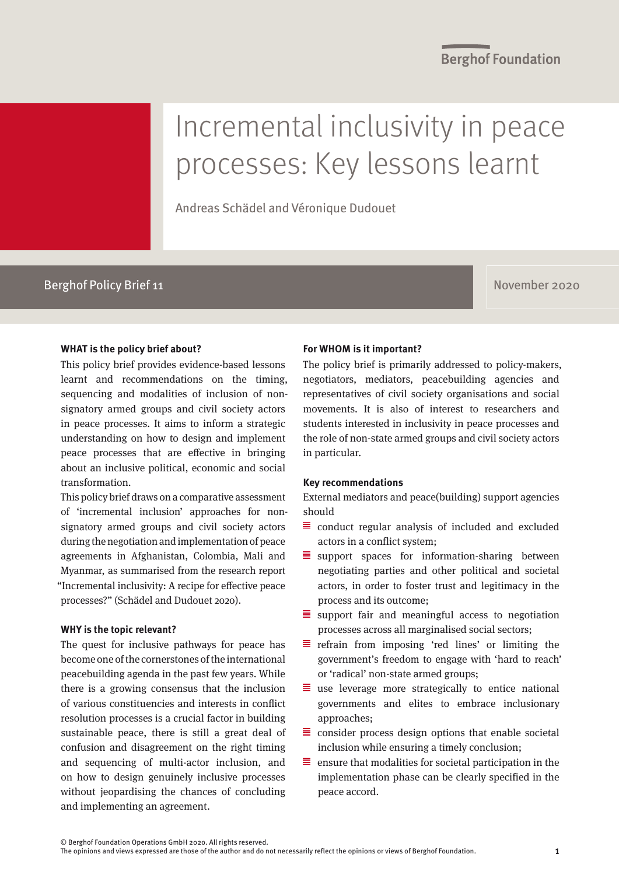# Incremental inclusivity in peace processes: Key lessons learnt

Andreas Schädel and Véronique Dudouet

### Berghof Policy Brief 11 November 2020

#### **WHAT is the policy brief about?**

This policy brief provides evidence-based lessons learnt and recommendations on the timing, sequencing and modalities of inclusion of nonsignatory armed groups and civil society actors in peace processes. It aims to inform a strategic understanding on how to design and implement peace processes that are effective in bringing about an inclusive political, economic and social transformation.

This policy brief draws on a comparative assessment of 'incremental inclusion' approaches for nonsignatory armed groups and civil society actors during the negotiation and implementation of peace agreements in Afghanistan, Colombia, Mali and Myanmar, as summarised from the research report "Incremental inclusivity: A recipe for effective peace processes?" (Schädel and Dudouet 2020).

#### **WHY is the topic relevant?**

The quest for inclusive pathways for peace has become one of the cornerstones of the international peacebuilding agenda in the past few years. While there is a growing consensus that the inclusion of various constituencies and interests in conflict resolution processes is a crucial factor in building sustainable peace, there is still a great deal of confusion and disagreement on the right timing and sequencing of multi-actor inclusion, and on how to design genuinely inclusive processes without jeopardising the chances of concluding and implementing an agreement.

#### **For WHOM is it important?**

The policy brief is primarily addressed to policy-makers, negotiators, mediators, peacebuilding agencies and representatives of civil society organisations and social movements. It is also of interest to researchers and students interested in inclusivity in peace processes and the role of non-state armed groups and civil society actors in particular.

#### **Key recommendations**

External mediators and peace(building) support agencies should

- $\equiv$  conduct regular analysis of included and excluded actors in a conflict system;
- $\equiv$  support spaces for information-sharing between negotiating parties and other political and societal actors, in order to foster trust and legitimacy in the process and its outcome;
- $\equiv$  support fair and meaningful access to negotiation processes across all marginalised social sectors;
- $\equiv$  refrain from imposing 'red lines' or limiting the government's freedom to engage with 'hard to reach' or 'radical' non-state armed groups;
- $\equiv$  use leverage more strategically to entice national governments and elites to embrace inclusionary approaches;
- $\equiv$  consider process design options that enable societal inclusion while ensuring a timely conclusion;
- $\equiv$  ensure that modalities for societal participation in the implementation phase can be clearly specified in the peace accord.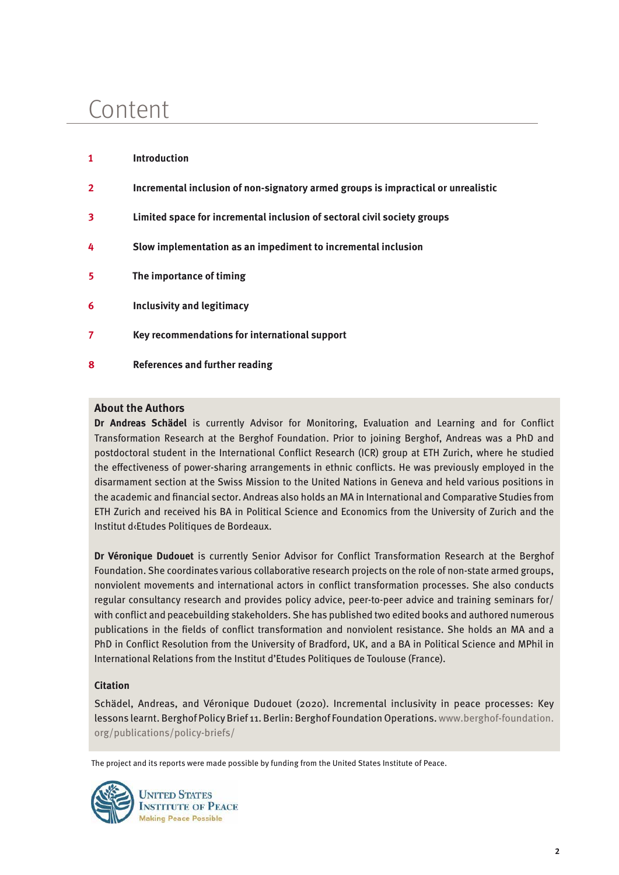# Content

**1 Introduction**

- **2 Incremental inclusion of non-signatory armed groups is impractical or unrealistic**
- **3 Limited space for incremental inclusion of sectoral civil society groups**
- **4 Slow implementation as an impediment to incremental inclusion**
- **5 The importance of timing**
- **6 Inclusivity and legitimacy**
- **7 Key recommendations for international support**
- **8 References and further reading**

#### **About the Authors**

**Dr Andreas Schädel** is currently Advisor for Monitoring, Evaluation and Learning and for Conflict Transformation Research at the Berghof Foundation. Prior to joining Berghof, Andreas was a PhD and postdoctoral student in the International Conflict Research (ICR) group at ETH Zurich, where he studied the effectiveness of power-sharing arrangements in ethnic conflicts. He was previously employed in the disarmament section at the Swiss Mission to the United Nations in Geneva and held various positions in the academic and financial sector. Andreas also holds an MA in International and Comparative Studies from ETH Zurich and received his BA in Political Science and Economics from the University of Zurich and the Institut d‹Etudes Politiques de Bordeaux.

**Dr Véronique Dudouet** is currently Senior Advisor for Conflict Transformation Research at the Berghof Foundation. She coordinates various collaborative research projects on the role of non-state armed groups, nonviolent movements and international actors in conflict transformation processes. She also conducts regular consultancy research and provides policy advice, peer-to-peer advice and training seminars for/ with conflict and peacebuilding stakeholders. She has published two edited books and authored numerous publications in the fields of conflict transformation and nonviolent resistance. She holds an MA and a PhD in Conflict Resolution from the University of Bradford, UK, and a BA in Political Science and MPhil in International Relations from the Institut d'Etudes Politiques de Toulouse (France).

#### **Citation**

Schädel, Andreas, and Véronique Dudouet (2020). Incremental inclusivity in peace processes: Key lessons learnt. Berghof Policy Brief 11. Berlin: Berghof Foundation Operations. [www.berghof-foundation.](https://www.berghof-foundation.org/publications/policy-briefs/) [org/publications/policy-briefs/](https://www.berghof-foundation.org/publications/policy-briefs/)

The project and its reports were made possible by funding from the United States Institute of Peace.

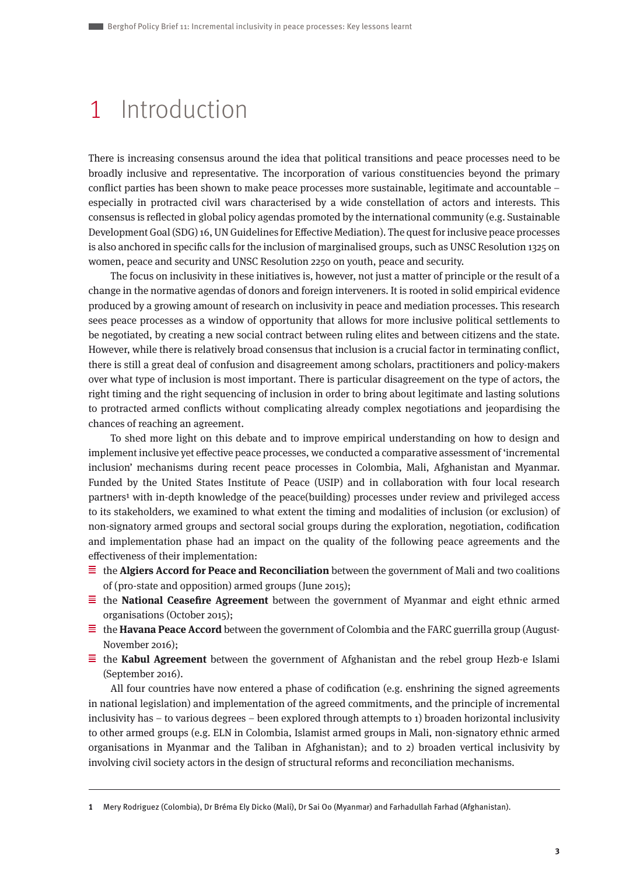### 1 Introduction

There is increasing consensus around the idea that political transitions and peace processes need to be broadly inclusive and representative. The incorporation of various constituencies beyond the primary conflict parties has been shown to make peace processes more sustainable, legitimate and accountable – especially in protracted civil wars characterised by a wide constellation of actors and interests. This consensus is reflected in global policy agendas promoted by the international community (e.g. Sustainable Development Goal (SDG) 16, UN Guidelines for Effective Mediation). The quest for inclusive peace processes is also anchored in specific calls for the inclusion of marginalised groups, such as UNSC Resolution 1325 on women, peace and security and UNSC Resolution 2250 on youth, peace and security.

The focus on inclusivity in these initiatives is, however, not just a matter of principle or the result of a change in the normative agendas of donors and foreign interveners. It is rooted in solid empirical evidence produced by a growing amount of research on inclusivity in peace and mediation processes. This research sees peace processes as a window of opportunity that allows for more inclusive political settlements to be negotiated, by creating a new social contract between ruling elites and between citizens and the state. However, while there is relatively broad consensus that inclusion is a crucial factor in terminating conflict, there is still a great deal of confusion and disagreement among scholars, practitioners and policy-makers over what type of inclusion is most important. There is particular disagreement on the type of actors, the right timing and the right sequencing of inclusion in order to bring about legitimate and lasting solutions to protracted armed conflicts without complicating already complex negotiations and jeopardising the chances of reaching an agreement.

To shed more light on this debate and to improve empirical understanding on how to design and implement inclusive yet effective peace processes, we conducted a comparative assessment of 'incremental inclusion' mechanisms during recent peace processes in Colombia, Mali, Afghanistan and Myanmar. Funded by the United States Institute of Peace (USIP) and in collaboration with four local research partners1 with in-depth knowledge of the peace(building) processes under review and privileged access to its stakeholders, we examined to what extent the timing and modalities of inclusion (or exclusion) of non-signatory armed groups and sectoral social groups during the exploration, negotiation, codification and implementation phase had an impact on the quality of the following peace agreements and the effectiveness of their implementation:

- $\equiv$  the **Algiers Accord for Peace and Reconciliation** between the government of Mali and two coalitions of (pro-state and opposition) armed groups (June 2015);
- $\equiv$  the **National Ceasefire Agreement** between the government of Myanmar and eight ethnic armed organisations (October 2015);
- $\equiv$  the **Havana Peace Accord** between the government of Colombia and the FARC guerrilla group (August-November 2016);
- $\equiv$  the **Kabul Agreement** between the government of Afghanistan and the rebel group Hezb-e Islami (September 2016).

All four countries have now entered a phase of codification (e.g. enshrining the signed agreements in national legislation) and implementation of the agreed commitments, and the principle of incremental inclusivity has – to various degrees – been explored through attempts to 1) broaden horizontal inclusivity to other armed groups (e.g. ELN in Colombia, Islamist armed groups in Mali, non-signatory ethnic armed organisations in Myanmar and the Taliban in Afghanistan); and to 2) broaden vertical inclusivity by involving civil society actors in the design of structural reforms and reconciliation mechanisms.

**<sup>1</sup>** Mery Rodriguez (Colombia), Dr Bréma Ely Dicko (Mali), Dr Sai Oo (Myanmar) and Farhadullah Farhad (Afghanistan).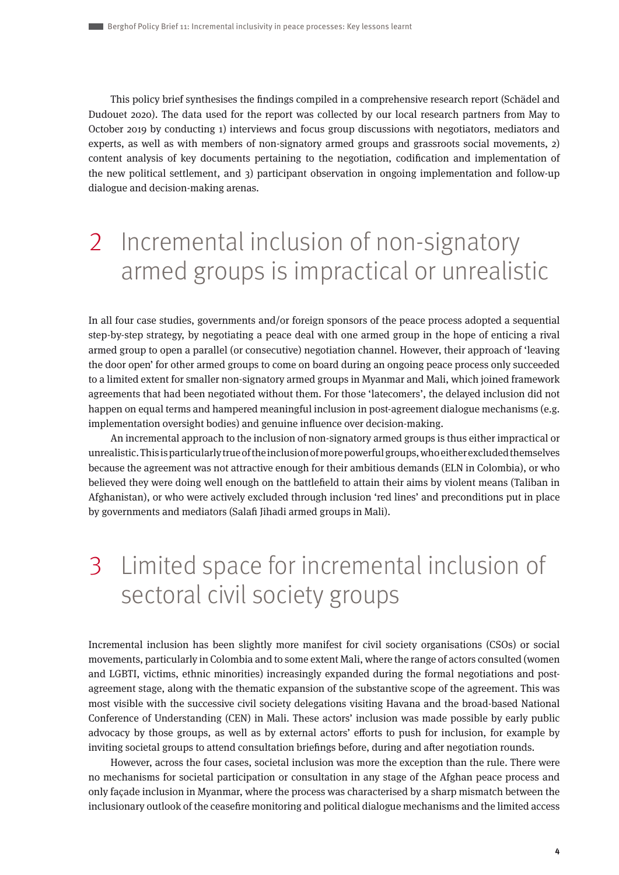This policy brief synthesises the findings compiled in a comprehensive research report (Schädel and Dudouet 2020). The data used for the report was collected by our local research partners from May to October 2019 by conducting 1) interviews and focus group discussions with negotiators, mediators and experts, as well as with members of non-signatory armed groups and grassroots social movements, 2) content analysis of key documents pertaining to the negotiation, codification and implementation of the new political settlement, and 3) participant observation in ongoing implementation and follow-up dialogue and decision-making arenas.

# 2 Incremental inclusion of non-signatory armed groups is impractical or unrealistic

In all four case studies, governments and/or foreign sponsors of the peace process adopted a sequential step-by-step strategy, by negotiating a peace deal with one armed group in the hope of enticing a rival armed group to open a parallel (or consecutive) negotiation channel. However, their approach of 'leaving the door open' for other armed groups to come on board during an ongoing peace process only succeeded to a limited extent for smaller non-signatory armed groups in Myanmar and Mali, which joined framework agreements that had been negotiated without them. For those 'latecomers', the delayed inclusion did not happen on equal terms and hampered meaningful inclusion in post-agreement dialogue mechanisms (e.g. implementation oversight bodies) and genuine influence over decision-making.

An incremental approach to the inclusion of non-signatory armed groups is thus either impractical or unrealistic. This is particularly true of the inclusion of more powerful groups, who either excluded themselves because the agreement was not attractive enough for their ambitious demands (ELN in Colombia), or who believed they were doing well enough on the battlefield to attain their aims by violent means (Taliban in Afghanistan), or who were actively excluded through inclusion 'red lines' and preconditions put in place by governments and mediators (Salafi Jihadi armed groups in Mali).

## 3 Limited space for incremental inclusion of sectoral civil society groups

Incremental inclusion has been slightly more manifest for civil society organisations (CSOs) or social movements, particularly in Colombia and to some extent Mali, where the range of actors consulted (women and LGBTI, victims, ethnic minorities) increasingly expanded during the formal negotiations and postagreement stage, along with the thematic expansion of the substantive scope of the agreement. This was most visible with the successive civil society delegations visiting Havana and the broad-based National Conference of Understanding (CEN) in Mali. These actors' inclusion was made possible by early public advocacy by those groups, as well as by external actors' efforts to push for inclusion, for example by inviting societal groups to attend consultation briefings before, during and after negotiation rounds.

However, across the four cases, societal inclusion was more the exception than the rule. There were no mechanisms for societal participation or consultation in any stage of the Afghan peace process and only façade inclusion in Myanmar, where the process was characterised by a sharp mismatch between the inclusionary outlook of the ceasefire monitoring and political dialogue mechanisms and the limited access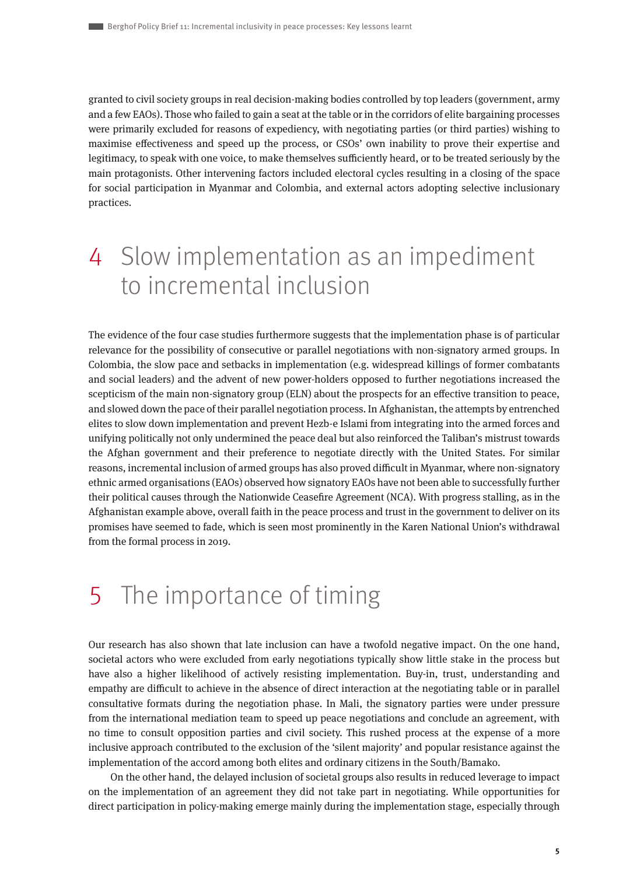granted to civil society groups in real decision-making bodies controlled by top leaders (government, army and a few EAOs). Those who failed to gain a seat at the table or in the corridors of elite bargaining processes were primarily excluded for reasons of expediency, with negotiating parties (or third parties) wishing to maximise effectiveness and speed up the process, or CSOs' own inability to prove their expertise and legitimacy, to speak with one voice, to make themselves sufficiently heard, or to be treated seriously by the main protagonists. Other intervening factors included electoral cycles resulting in a closing of the space for social participation in Myanmar and Colombia, and external actors adopting selective inclusionary practices.

### 4 Slow implementation as an impediment to incremental inclusion

The evidence of the four case studies furthermore suggests that the implementation phase is of particular relevance for the possibility of consecutive or parallel negotiations with non-signatory armed groups. In Colombia, the slow pace and setbacks in implementation (e.g. widespread killings of former combatants and social leaders) and the advent of new power-holders opposed to further negotiations increased the scepticism of the main non-signatory group (ELN) about the prospects for an effective transition to peace, and slowed down the pace of their parallel negotiation process. In Afghanistan, the attempts by entrenched elites to slow down implementation and prevent Hezb-e Islami from integrating into the armed forces and unifying politically not only undermined the peace deal but also reinforced the Taliban's mistrust towards the Afghan government and their preference to negotiate directly with the United States. For similar reasons, incremental inclusion of armed groups has also proved difficult in Myanmar, where non-signatory ethnic armed organisations (EAOs) observed how signatory EAOs have not been able to successfully further their political causes through the Nationwide Ceasefire Agreement (NCA). With progress stalling, as in the Afghanistan example above, overall faith in the peace process and trust in the government to deliver on its promises have seemed to fade, which is seen most prominently in the Karen National Union's withdrawal from the formal process in 2019.

### 5 The importance of timing

Our research has also shown that late inclusion can have a twofold negative impact. On the one hand, societal actors who were excluded from early negotiations typically show little stake in the process but have also a higher likelihood of actively resisting implementation. Buy-in, trust, understanding and empathy are difficult to achieve in the absence of direct interaction at the negotiating table or in parallel consultative formats during the negotiation phase. In Mali, the signatory parties were under pressure from the international mediation team to speed up peace negotiations and conclude an agreement, with no time to consult opposition parties and civil society. This rushed process at the expense of a more inclusive approach contributed to the exclusion of the 'silent majority' and popular resistance against the implementation of the accord among both elites and ordinary citizens in the South/Bamako.

On the other hand, the delayed inclusion of societal groups also results in reduced leverage to impact on the implementation of an agreement they did not take part in negotiating. While opportunities for direct participation in policy-making emerge mainly during the implementation stage, especially through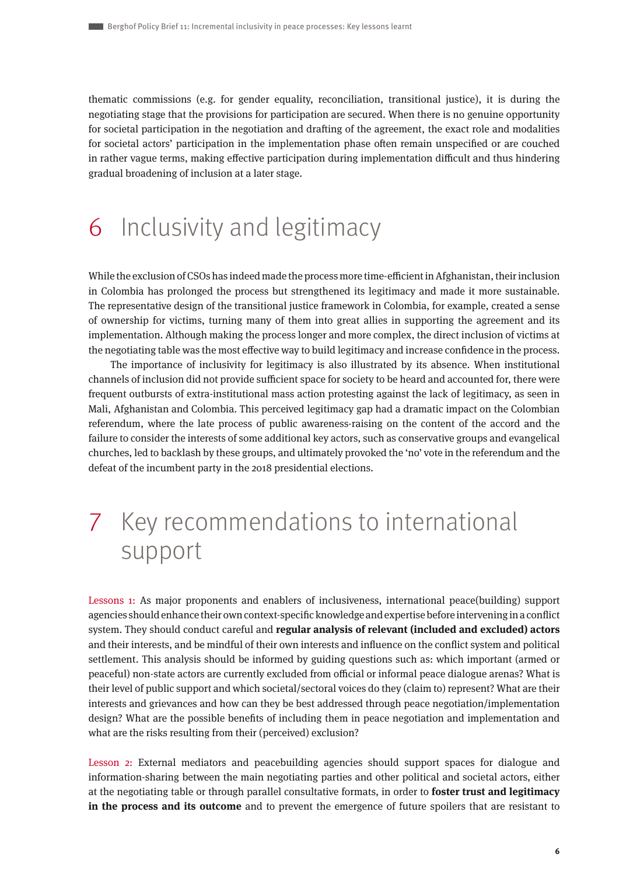thematic commissions (e.g. for gender equality, reconciliation, transitional justice), it is during the negotiating stage that the provisions for participation are secured. When there is no genuine opportunity for societal participation in the negotiation and drafting of the agreement, the exact role and modalities for societal actors' participation in the implementation phase often remain unspecified or are couched in rather vague terms, making effective participation during implementation difficult and thus hindering gradual broadening of inclusion at a later stage.

### 6 Inclusivity and legitimacy

While the exclusion of CSOs has indeed made the process more time-efficient in Afghanistan, their inclusion in Colombia has prolonged the process but strengthened its legitimacy and made it more sustainable. The representative design of the transitional justice framework in Colombia, for example, created a sense of ownership for victims, turning many of them into great allies in supporting the agreement and its implementation. Although making the process longer and more complex, the direct inclusion of victims at the negotiating table was the most effective way to build legitimacy and increase confidence in the process.

The importance of inclusivity for legitimacy is also illustrated by its absence. When institutional channels of inclusion did not provide sufficient space for society to be heard and accounted for, there were frequent outbursts of extra-institutional mass action protesting against the lack of legitimacy, as seen in Mali, Afghanistan and Colombia. This perceived legitimacy gap had a dramatic impact on the Colombian referendum, where the late process of public awareness-raising on the content of the accord and the failure to consider the interests of some additional key actors, such as conservative groups and evangelical churches, led to backlash by these groups, and ultimately provoked the 'no' vote in the referendum and the defeat of the incumbent party in the 2018 presidential elections.

### 7 Key recommendations to international support

Lessons 1: As major proponents and enablers of inclusiveness, international peace(building) support agencies should enhance their own context-specific knowledge and expertise before intervening in a conflict system. They should conduct careful and **regular analysis of relevant (included and excluded) actors** and their interests, and be mindful of their own interests and influence on the conflict system and political settlement. This analysis should be informed by guiding questions such as: which important (armed or peaceful) non-state actors are currently excluded from official or informal peace dialogue arenas? What is their level of public support and which societal/sectoral voices do they (claim to) represent? What are their interests and grievances and how can they be best addressed through peace negotiation/implementation design? What are the possible benefits of including them in peace negotiation and implementation and what are the risks resulting from their (perceived) exclusion?

Lesson 2: External mediators and peacebuilding agencies should support spaces for dialogue and information-sharing between the main negotiating parties and other political and societal actors, either at the negotiating table or through parallel consultative formats, in order to **foster trust and legitimacy in the process and its outcome** and to prevent the emergence of future spoilers that are resistant to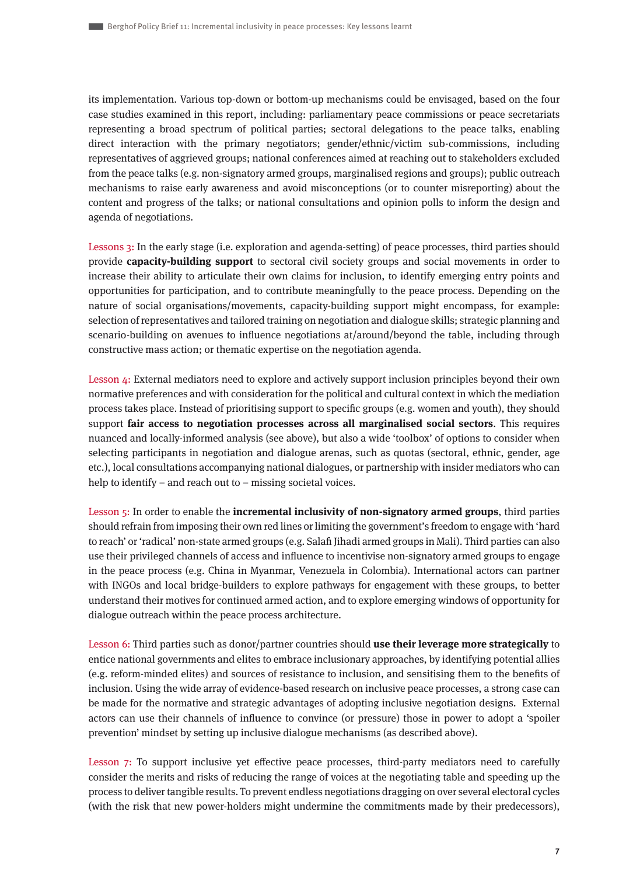its implementation. Various top-down or bottom-up mechanisms could be envisaged, based on the four case studies examined in this report, including: parliamentary peace commissions or peace secretariats representing a broad spectrum of political parties; sectoral delegations to the peace talks, enabling direct interaction with the primary negotiators; gender/ethnic/victim sub-commissions, including representatives of aggrieved groups; national conferences aimed at reaching out to stakeholders excluded from the peace talks (e.g. non-signatory armed groups, marginalised regions and groups); public outreach mechanisms to raise early awareness and avoid misconceptions (or to counter misreporting) about the content and progress of the talks; or national consultations and opinion polls to inform the design and agenda of negotiations.

Lessons 3: In the early stage (i.e. exploration and agenda-setting) of peace processes, third parties should provide **capacity-building support** to sectoral civil society groups and social movements in order to increase their ability to articulate their own claims for inclusion, to identify emerging entry points and opportunities for participation, and to contribute meaningfully to the peace process. Depending on the nature of social organisations/movements, capacity-building support might encompass, for example: selection of representatives and tailored training on negotiation and dialogue skills; strategic planning and scenario-building on avenues to influence negotiations at/around/beyond the table, including through constructive mass action; or thematic expertise on the negotiation agenda.

Lesson 4: External mediators need to explore and actively support inclusion principles beyond their own normative preferences and with consideration for the political and cultural context in which the mediation process takes place. Instead of prioritising support to specific groups (e.g. women and youth), they should support **fair access to negotiation processes across all marginalised social sectors**. This requires nuanced and locally-informed analysis (see above), but also a wide 'toolbox' of options to consider when selecting participants in negotiation and dialogue arenas, such as quotas (sectoral, ethnic, gender, age etc.), local consultations accompanying national dialogues, or partnership with insider mediators who can help to identify – and reach out to – missing societal voices.

Lesson 5: In order to enable the **incremental inclusivity of non-signatory armed groups**, third parties should refrain from imposing their own red lines or limiting the government's freedom to engage with 'hard to reach' or 'radical' non-state armed groups (e.g. Salafi Jihadi armed groups in Mali). Third parties can also use their privileged channels of access and influence to incentivise non-signatory armed groups to engage in the peace process (e.g. China in Myanmar, Venezuela in Colombia). International actors can partner with INGOs and local bridge-builders to explore pathways for engagement with these groups, to better understand their motives for continued armed action, and to explore emerging windows of opportunity for dialogue outreach within the peace process architecture.

Lesson 6: Third parties such as donor/partner countries should **use their leverage more strategically** to entice national governments and elites to embrace inclusionary approaches, by identifying potential allies (e.g. reform-minded elites) and sources of resistance to inclusion, and sensitising them to the benefits of inclusion. Using the wide array of evidence-based research on inclusive peace processes, a strong case can be made for the normative and strategic advantages of adopting inclusive negotiation designs. External actors can use their channels of influence to convince (or pressure) those in power to adopt a 'spoiler prevention' mindset by setting up inclusive dialogue mechanisms (as described above).

Lesson 7: To support inclusive yet effective peace processes, third-party mediators need to carefully consider the merits and risks of reducing the range of voices at the negotiating table and speeding up the process to deliver tangible results. To prevent endless negotiations dragging on over several electoral cycles (with the risk that new power-holders might undermine the commitments made by their predecessors),